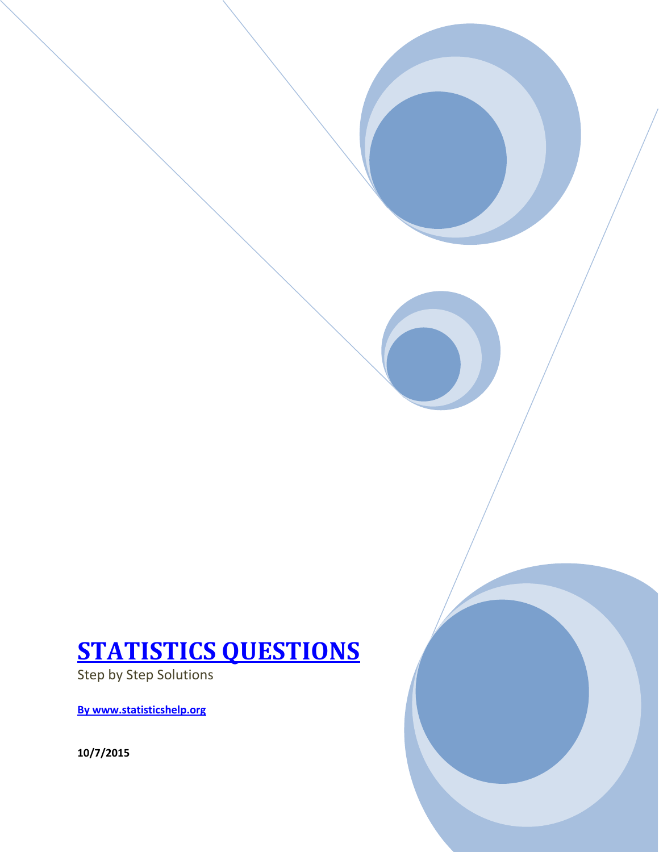### **STATISTICS QUESTIONS**

Step by Step Solutions

**By www.statisticshelp.org**

**10/7/2015**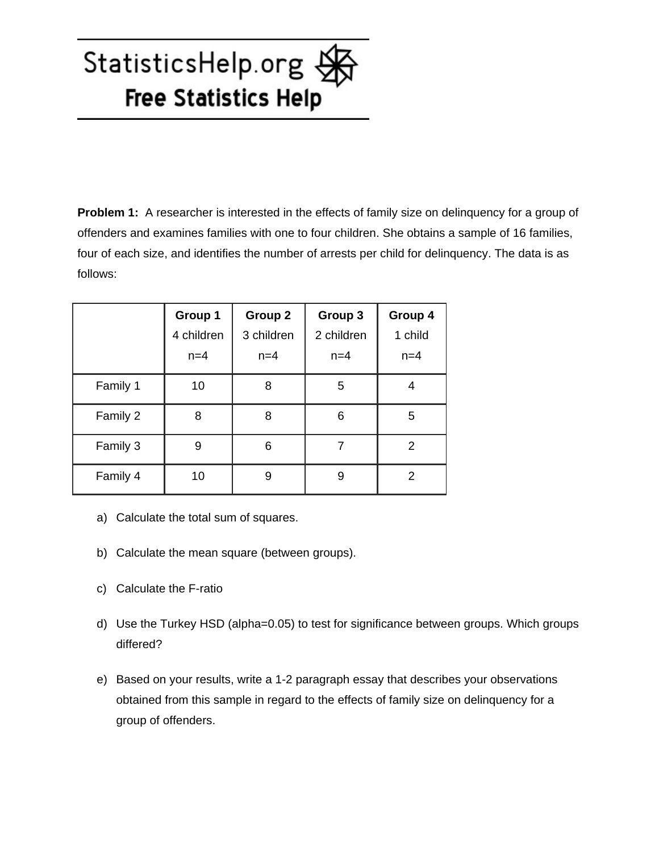**Problem 1:** A researcher is interested in the effects of family size on delinquency for a group of offenders and examines families with one to four children. She obtains a sample of 16 families, four of each size, and identifies the number of arrests per child for delinquency. The data is as follows:

|          | Group 1    | <b>Group 2</b> | Group 3    | Group 4 |
|----------|------------|----------------|------------|---------|
|          | 4 children | 3 children     | 2 children | 1 child |
|          | $n=4$      | $n=4$          | $n=4$      | $n=4$   |
| Family 1 | 10         | 8              | 5          |         |
| Family 2 | 8          | 8              | 6          | 5       |
| Family 3 | 9          | 6              |            | 2       |
| Family 4 | 10         | 9              | 9          | 2       |

- a) Calculate the total sum of squares.
- b) Calculate the mean square (between groups).
- c) Calculate the F-ratio
- d) Use the Turkey HSD (alpha=0.05) to test for significance between groups. Which groups differed?
- e) Based on your results, write a 1-2 paragraph essay that describes your observations obtained from this sample in regard to the effects of family size on delinquency for a group of offenders.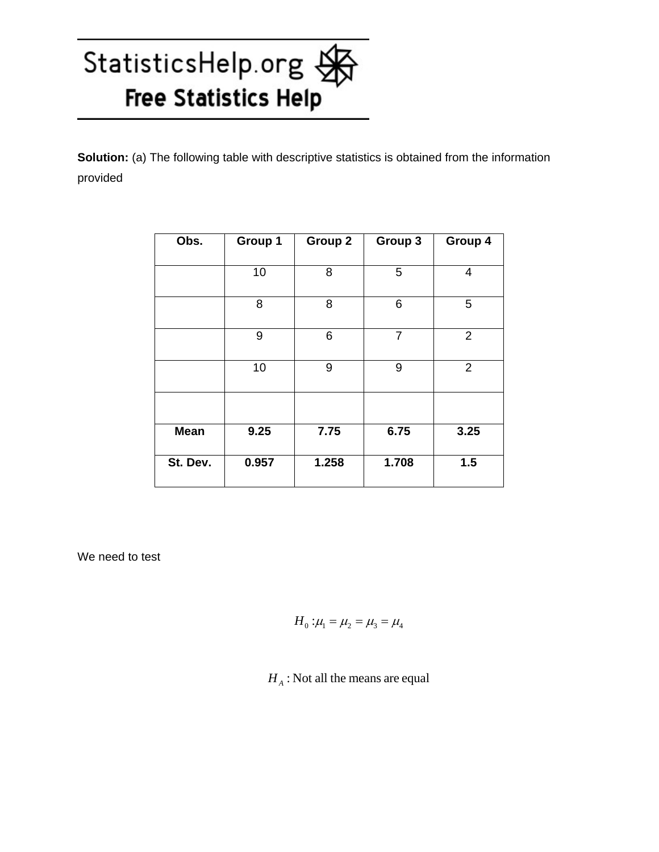**Solution:** (a) The following table with descriptive statistics is obtained from the information provided

| Obs.        | Group 1 | Group 2 | Group 3        | Group 4        |
|-------------|---------|---------|----------------|----------------|
|             |         |         |                |                |
|             | 10      | 8       | 5              | 4              |
|             | 8       | 8       | 6              | 5              |
|             | 9       | 6       | $\overline{7}$ | $\overline{2}$ |
|             | 10      | 9       | 9              | $\overline{2}$ |
|             |         |         |                |                |
| <b>Mean</b> | 9.25    | 7.75    | 6.75           | 3.25           |
| St. Dev.    | 0.957   | 1.258   | 1.708          | 1.5            |

We need to test

$$
H_0: \mu_1 = \mu_2 = \mu_3 = \mu_4
$$

 $H_A$ : Not all the means are equal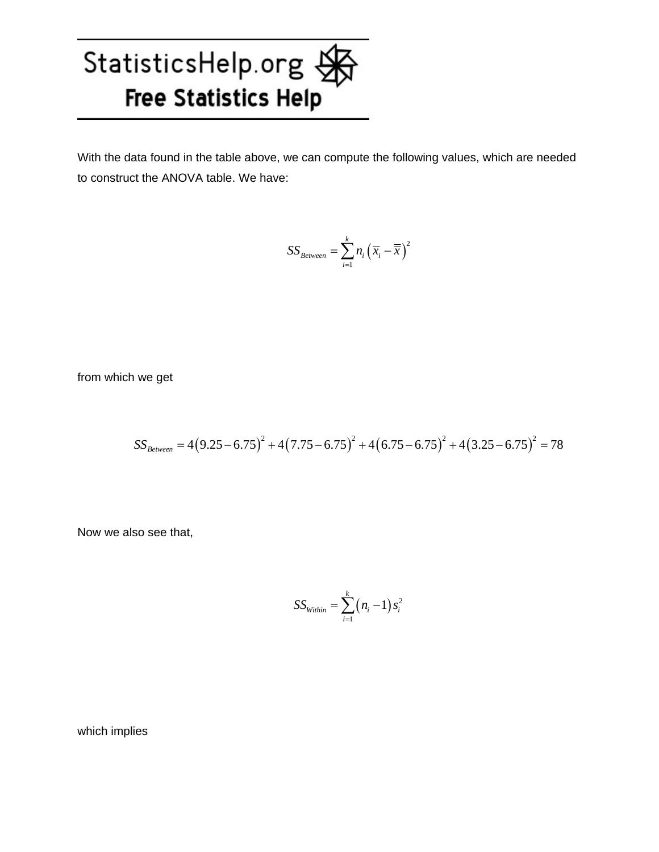With the data found in the table above, we can compute the following values, which are needed to construct the ANOVA table. We have:

$$
SS_{Between} = \sum_{i=1}^{k} n_i (\overline{x}_i - \overline{\overline{x}})^2
$$

from which we get

$$
SS_{Between} = 4(9.25 - 6.75)^{2} + 4(7.75 - 6.75)^{2} + 4(6.75 - 6.75)^{2} + 4(3.25 - 6.75)^{2} = 78
$$

Now we also see that,

$$
SS_{within} = \sum_{i=1}^{k} (n_i - 1) s_i^2
$$

which implies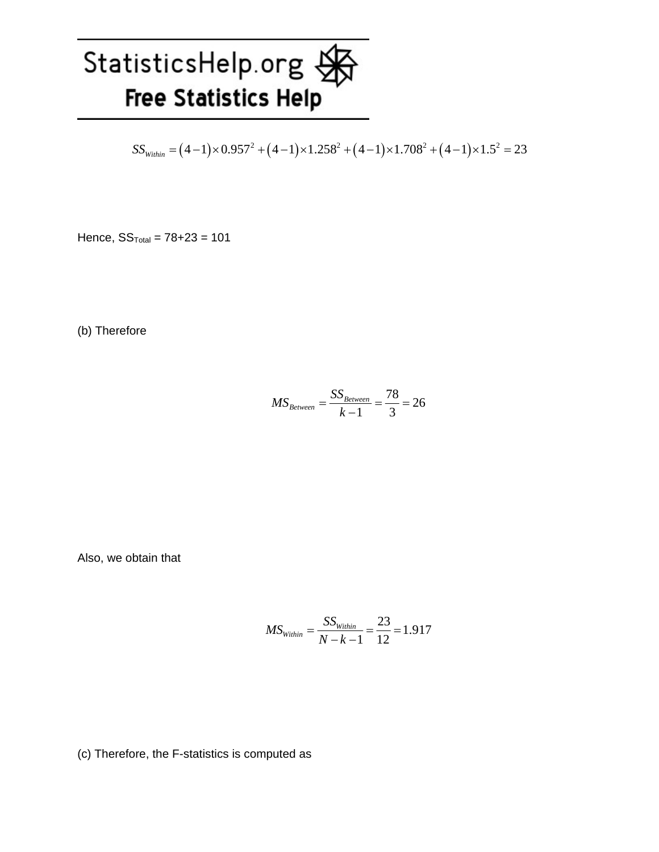$$
SS_{Within} = (4-1) \times 0.957^2 + (4-1) \times 1.258^2 + (4-1) \times 1.708^2 + (4-1) \times 1.5^2 = 23
$$

Hence,  $SS_{Total} = 78 + 23 = 101$ 

(b) Therefore

$$
MS_{Between} = \frac{SS_{Between}}{k-1} = \frac{78}{3} = 26
$$

Also, we obtain that

$$
MS_{\text{Within}} = \frac{SS_{\text{Within}}}{N - k - 1} = \frac{23}{12} = 1.917
$$

(c) Therefore, the F-statistics is computed as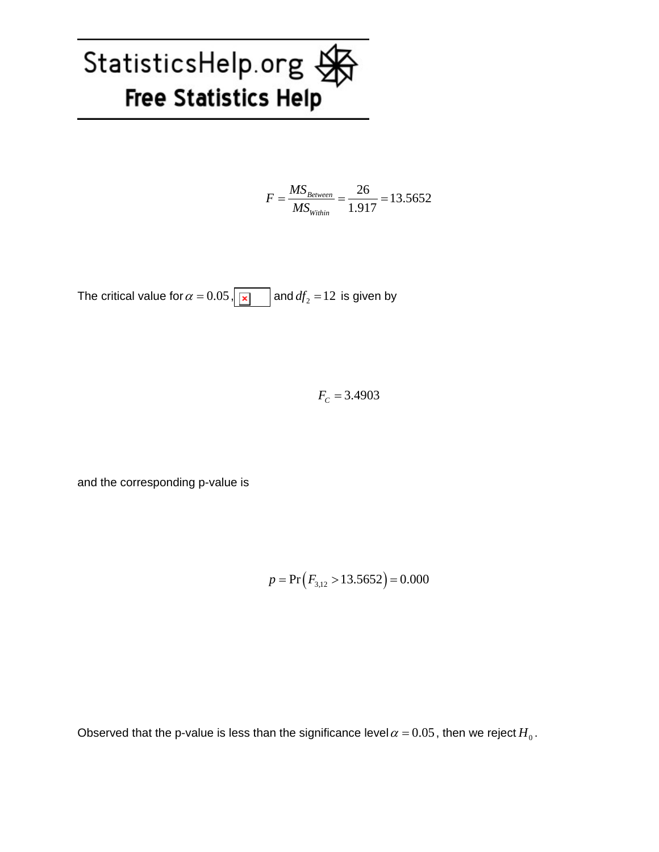$$
F = \frac{MS_{Between}}{MS_{Within}} = \frac{26}{1.917} = 13.5652
$$

The critical value for  $\alpha = 0.05$ ,  $\boxed{\mathbf{x}}$  and  $df_2 = 12$  is given by

 $F_C = 3.4903$ 

and the corresponding p-value is

$$
p = Pr(F_{3,12} > 13.5652) = 0.000
$$

Observed that the p-value is less than the significance level  $\alpha = 0.05$ , then we reject  $H_0$ .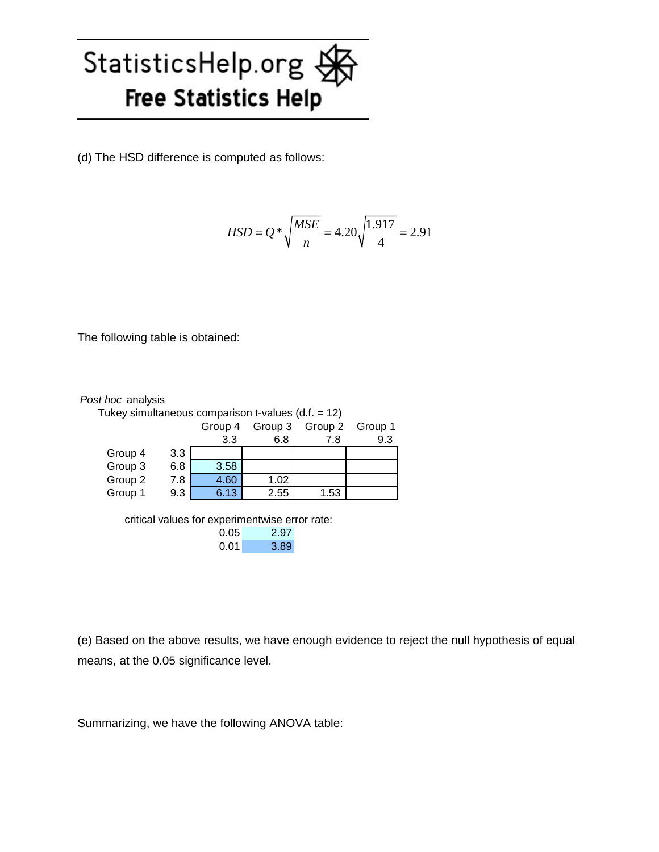(d) The HSD difference is computed as follows:

$$
HSD = Q * \sqrt{\frac{MSE}{n}} = 4.20 \sqrt{\frac{1.917}{4}} = 2.91
$$

The following table is obtained:

| Post hoc analysis                                    |     |                                                |      |                 |         |
|------------------------------------------------------|-----|------------------------------------------------|------|-----------------|---------|
| Tukey simultaneous comparison t-values $(d.f. = 12)$ |     |                                                |      |                 |         |
|                                                      |     | Group 4                                        |      | Group 3 Group 2 | Group 1 |
|                                                      |     | 3.3                                            | 6.8  | 7.8             | 9.3     |
| Group 4                                              | 3.3 |                                                |      |                 |         |
| Group 3                                              | 6.8 | 3.58                                           |      |                 |         |
| Group 2                                              | 7.8 | 4.60                                           | 1.02 |                 |         |
| Group 1                                              | 9.3 | 6.13                                           | 2.55 | 1.53            |         |
|                                                      |     |                                                |      |                 |         |
|                                                      |     | critical values for experimentwise error rate: |      |                 |         |
|                                                      |     | 0.05                                           | 2.97 |                 |         |
|                                                      |     | 0.01                                           | 3.89 |                 |         |

(e) Based on the above results, we have enough evidence to reject the null hypothesis of equal means, at the 0.05 significance level.

Summarizing, we have the following ANOVA table: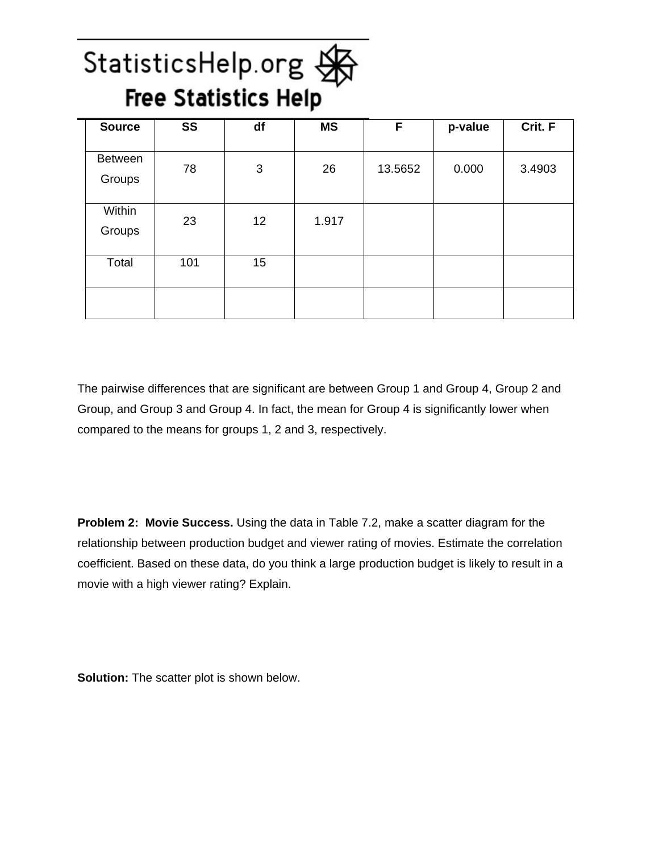### StatisticsHelp.org StatisticsHelp.org

| <b>Source</b>            | <b>SS</b> | df              | <b>MS</b> | F       | p-value | Crit. F |
|--------------------------|-----------|-----------------|-----------|---------|---------|---------|
| <b>Between</b><br>Groups | 78        | 3               | 26        | 13.5652 | 0.000   | 3.4903  |
| Within<br>Groups         | 23        | 12 <sup>2</sup> | 1.917     |         |         |         |
| Total                    | 101       | 15              |           |         |         |         |
|                          |           |                 |           |         |         |         |

The pairwise differences that are significant are between Group 1 and Group 4, Group 2 and Group, and Group 3 and Group 4. In fact, the mean for Group 4 is significantly lower when compared to the means for groups 1, 2 and 3, respectively.

**Problem 2: Movie Success.** Using the data in Table 7.2, make a scatter diagram for the relationship between production budget and viewer rating of movies. Estimate the correlation coefficient. Based on these data, do you think a large production budget is likely to result in a movie with a high viewer rating? Explain.

**Solution:** The scatter plot is shown below.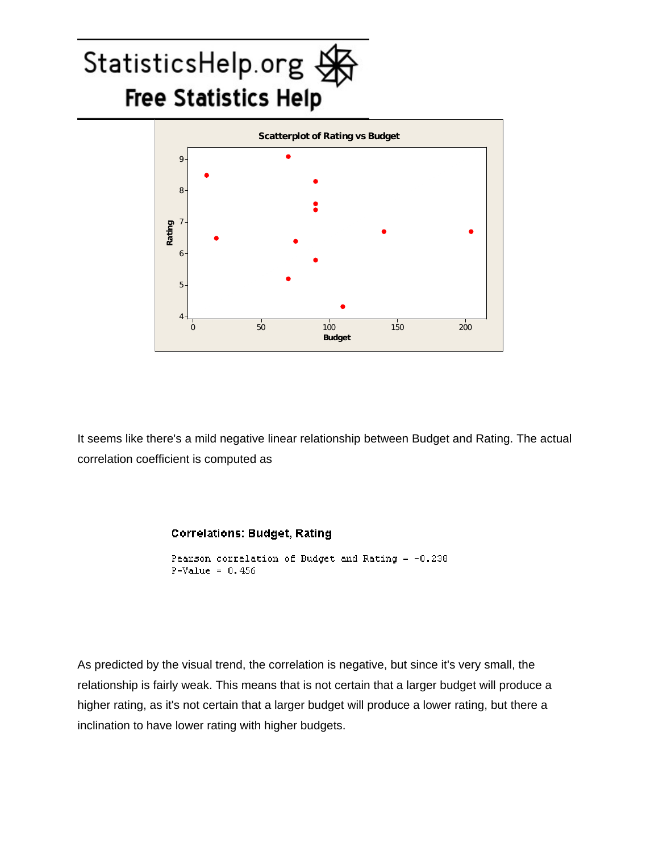### StatisticsHelp.org  $\frac{1}{2}$ **Free Statistics Help**



It seems like there's a mild negative linear relationship between Budget and Rating. The actual correlation coefficient is computed as

#### **Correlations: Budget, Rating**

```
Pearson correlation of Budget and Rating = -0.238
P-Value = 0.456
```
As predicted by the visual trend, the correlation is negative, but since it's very small, the relationship is fairly weak. This means that is not certain that a larger budget will produce a higher rating, as it's not certain that a larger budget will produce a lower rating, but there a inclination to have lower rating with higher budgets.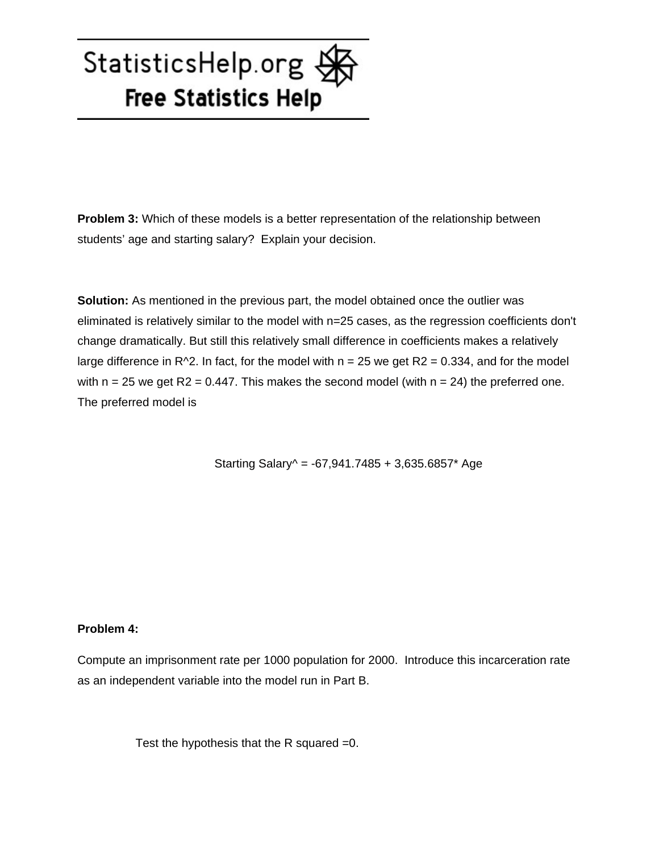**Problem 3:** Which of these models is a better representation of the relationship between students' age and starting salary? Explain your decision.

**Solution:** As mentioned in the previous part, the model obtained once the outlier was eliminated is relatively similar to the model with n=25 cases, as the regression coefficients don't change dramatically. But still this relatively small difference in coefficients makes a relatively large difference in R^2. In fact, for the model with  $n = 25$  we get R2 = 0.334, and for the model with  $n = 25$  we get R2 = 0.447. This makes the second model (with  $n = 24$ ) the preferred one. The preferred model is

Starting Salary $\textdegree$  = -67,941.7485 + 3,635.6857\* Age

#### **Problem 4:**

Compute an imprisonment rate per 1000 population for 2000. Introduce this incarceration rate as an independent variable into the model run in Part B.

Test the hypothesis that the R squared =0.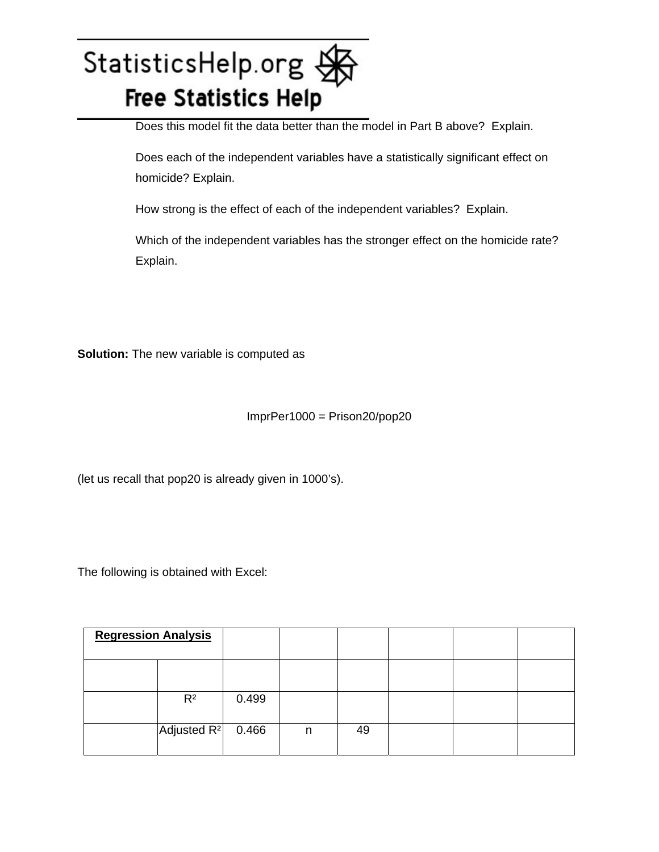Does this model fit the data better than the model in Part B above? Explain.

 Does each of the independent variables have a statistically significant effect on homicide? Explain.

How strong is the effect of each of the independent variables? Explain.

 Which of the independent variables has the stronger effect on the homicide rate? Explain.

**Solution:** The new variable is computed as

ImprPer1000 = Prison20/pop20

(let us recall that pop20 is already given in 1000's).

The following is obtained with Excel:

| <b>Regression Analysis</b> |                      |       |   |    |  |  |
|----------------------------|----------------------|-------|---|----|--|--|
|                            |                      |       |   |    |  |  |
|                            | $R^2$                | 0.499 |   |    |  |  |
|                            | Adjusted $R^2$ 0.466 |       | n | 49 |  |  |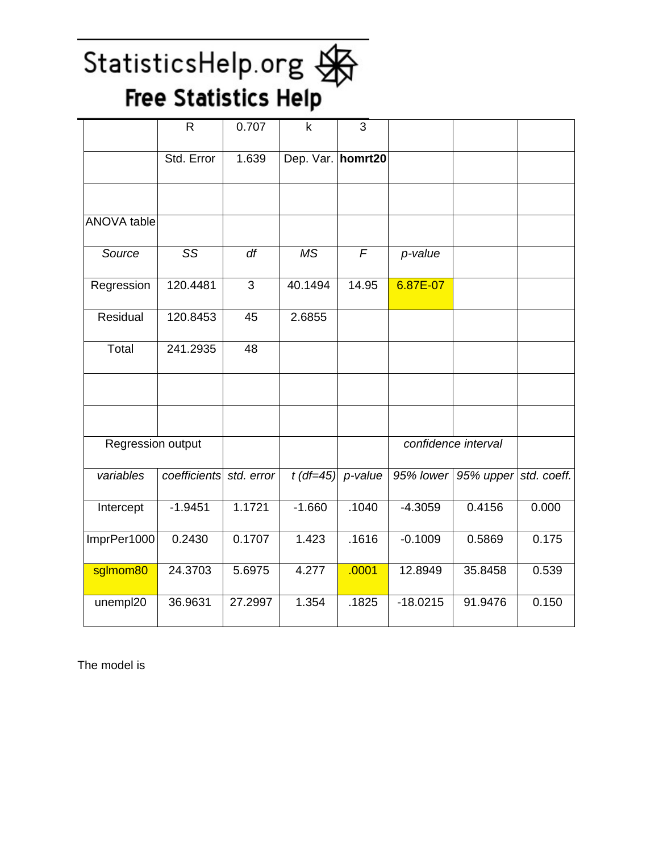|                    | $\mathsf{R}$            | 0.707          | $\mathsf k$       | $\overline{3}$ |            |                     |             |
|--------------------|-------------------------|----------------|-------------------|----------------|------------|---------------------|-------------|
|                    | Std. Error              | 1.639          | Dep. Var. homrt20 |                |            |                     |             |
|                    |                         |                |                   |                |            |                     |             |
| <b>ANOVA</b> table |                         |                |                   |                |            |                     |             |
| Source             | $\overline{\text{SS}}$  | df             | <b>MS</b>         | $\sqrt{F}$     | p-value    |                     |             |
| Regression         | 120.4481                | $\overline{3}$ | 40.1494           | 14.95          | 6.87E-07   |                     |             |
| Residual           | 120.8453                | 45             | 2.6855            |                |            |                     |             |
| Total              | 241.2935                | 48             |                   |                |            |                     |             |
|                    |                         |                |                   |                |            |                     |             |
|                    |                         |                |                   |                |            |                     |             |
| Regression output  |                         |                |                   |                |            | confidence interval |             |
| variables          | coefficients std. error |                | $t$ (df=45)       | p-value        | 95% lower  | 95% upper           | std. coeff. |
| Intercept          | $-1.9451$               | 1.1721         | $-1.660$          | .1040          | $-4.3059$  | 0.4156              | 0.000       |
| ImprPer1000        | 0.2430                  | 0.1707         | 1.423             | .1616          | $-0.1009$  | 0.5869              | 0.175       |
| sglmom80           | 24.3703                 | 5.6975         | 4.277             | .0001          | 12.8949    | 35.8458             | 0.539       |
| unempl20           | 36.9631                 | 27.2997        | 1.354             | .1825          | $-18.0215$ | 91.9476             | 0.150       |

The model is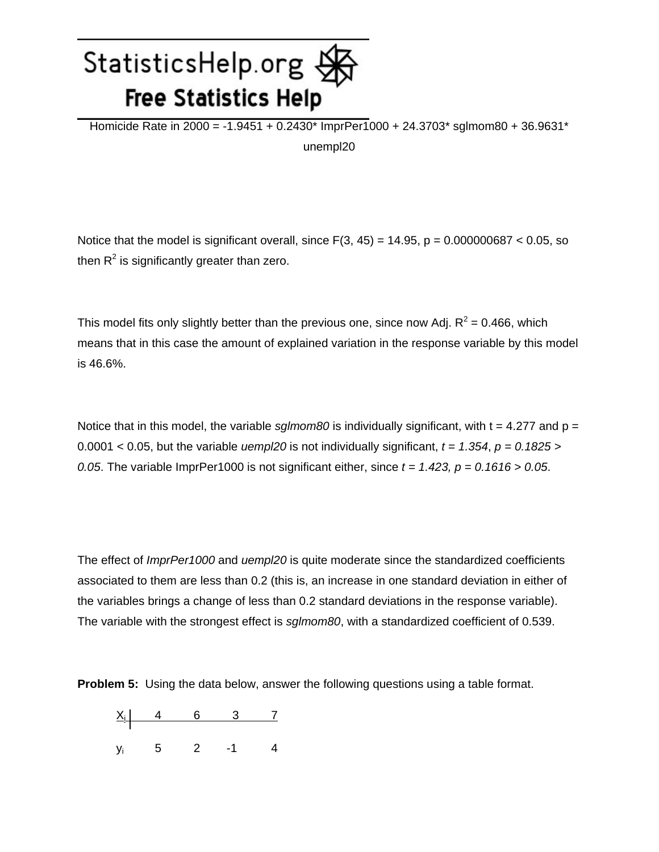Homicide Rate in 2000 = -1.9451 + 0.2430\* ImprPer1000 + 24.3703\* sglmom80 + 36.9631\* unempl20

Notice that the model is significant overall, since  $F(3, 45) = 14.95$ ,  $p = 0.000000687 < 0.05$ , so then  $R^2$  is significantly greater than zero.

This model fits only slightly better than the previous one, since now Adj.  $R^2$  = 0.466, which means that in this case the amount of explained variation in the response variable by this model is 46.6%.

Notice that in this model, the variable *sglmom80* is individually significant, with  $t = 4.277$  and  $p =$ 0.0001 < 0.05, but the variable *uempl20* is not individually significant,  $t = 1.354$ ,  $p = 0.1825$  > *0.05.* The variable ImprPer1000 is not significant either, since  $t = 1.423$ ,  $p = 0.1616 > 0.05$ .

The effect of *ImprPer1000* and *uempl20* is quite moderate since the standardized coefficients associated to them are less than 0.2 (this is, an increase in one standard deviation in either of the variables brings a change of less than 0.2 standard deviations in the response variable). The variable with the strongest effect is *sglmom80*, with a standardized coefficient of 0.539.

**Problem 5:** Using the data below, answer the following questions using a table format.

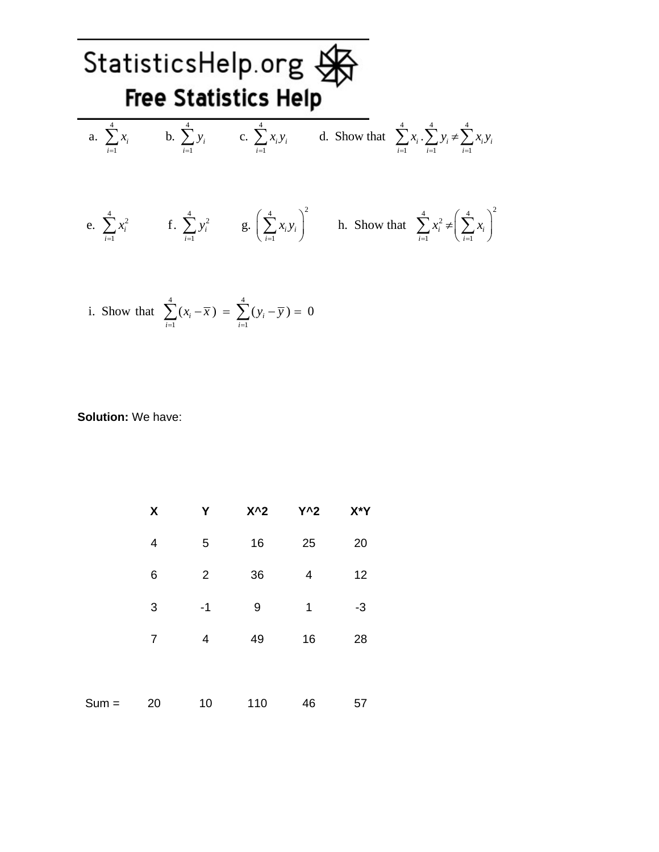

i. Show that 
$$
\sum_{i=1}^{4} (x_i - \overline{x}) = \sum_{i=1}^{4} (y_i - \overline{y}) = 0
$$

#### **Solution:** We have:

|         | $\pmb{\mathsf{X}}$ | Υ              | $X^2$ | $Y^2$ | X*Y  |
|---------|--------------------|----------------|-------|-------|------|
|         | 4                  | 5              | 16    | 25    | 20   |
|         | 6                  | $\overline{2}$ | 36    | 4     | 12   |
|         | 3                  | $-1$           | 9     | 1     | $-3$ |
|         | $\overline{7}$     | $\overline{4}$ | 49    | 16    | 28   |
|         |                    |                |       |       |      |
| $Sum =$ | 20                 | 10             | 110   | 46    | 57   |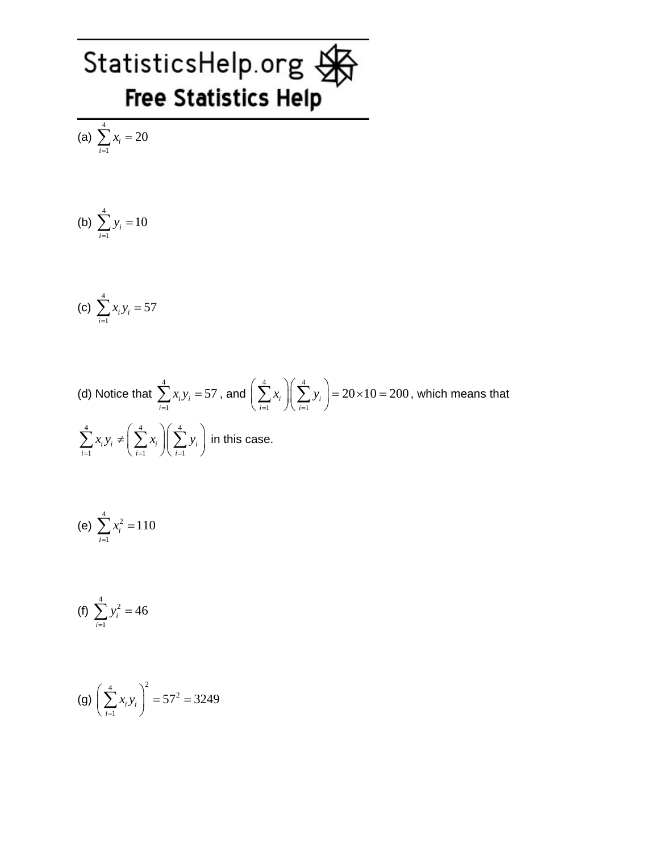(a) 4 1  $\dot{v}_i = 20$ *i x*  $\sum_{i=1} x_i =$ 

(b) 
$$
\sum_{i=1}^{4} y_i = 10
$$

(c) 
$$
\sum_{i=1}^{4} x_i y_i = 57
$$

(d) Notice that 
$$
\sum_{i=1}^{4} x_i y_i = 57
$$
, and  $\left(\sum_{i=1}^{4} x_i\right) \left(\sum_{i=1}^{4} y_i\right) = 20 \times 10 = 200$ , which means that  $\sum_{i=1}^{4} x_i y_i \neq \left(\sum_{i=1}^{4} x_i\right) \left(\sum_{i=1}^{4} y_i\right)$  in this case.

(e) 
$$
\sum_{i=1}^{4} x_i^2 = 110
$$

(f) 
$$
\sum_{i=1}^{4} y_i^2 = 46
$$

(g) 
$$
\left(\sum_{i=1}^{4} x_i y_i\right)^2 = 57^2 = 3249
$$